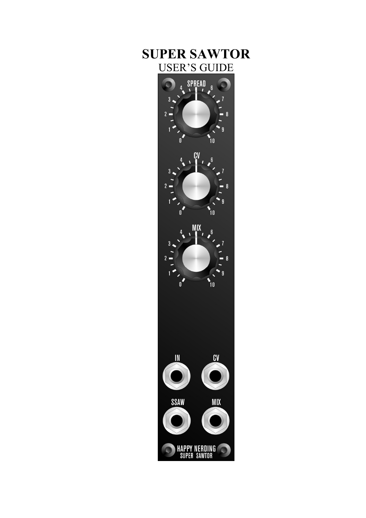# **SUPER SAWTOR**  USER'S GUIDE

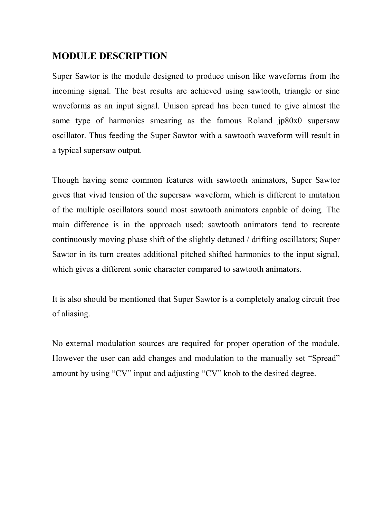#### **MODULE DESCRIPTION**

Super Sawtor is the module designed to produce unison like waveforms from the incoming signal. The best results are achieved using sawtooth, triangle or sine waveforms as an input signal. Unison spread has been tuned to give almost the same type of harmonics smearing as the famous Roland jp80x0 supersaw oscillator. Thus feeding the Super Sawtor with a sawtooth waveform will result in a typical supersaw output.

Though having some common features with sawtooth animators, Super Sawtor gives that vivid tension of the supersaw waveform, which is different to imitation of the multiple oscillators sound most sawtooth animators capable of doing. The main difference is in the approach used: sawtooth animators tend to recreate continuously moving phase shift of the slightly detuned / drifting oscillators; Super Sawtor in its turn creates additional pitched shifted harmonics to the input signal, which gives a different sonic character compared to sawtooth animators.

It is also should be mentioned that Super Sawtor is a completely analog circuit free of aliasing.

No external modulation sources are required for proper operation of the module. However the user can add changes and modulation to the manually set "Spread" amount by using "CV" input and adjusting "CV" knob to the desired degree.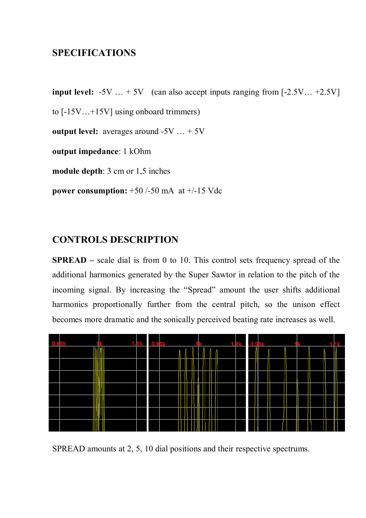#### **SPECIFICATIONS**

**input level:**  $-5V$   $\ldots +5V$  (can also accept inputs ranging from  $[-2.5V]$ ...  $+2.5V$ ] to [-15V…+15V] using onboard trimmers) **output level:** averages around -5V ... + 5V **output impedance**: 1 kOhm **module depth**: 3 cm or 1,5 inches **power consumption:** +50 /-50 mA at +/-15 Vdc

### **CONTROLS DESCRIPTION**

**SPREAD** – scale dial is from 0 to 10. This control sets frequency spread of the additional harmonics generated by the Super Sawtor in relation to the pitch of the incoming signal. By increasing the "Spread" amount the user shifts additional harmonics proportionally further from the central pitch, so the unison effect becomes more dramatic and the sonically perceived beating rate increases as well.



SPREAD amounts at 2, 5, 10 dial positions and their respective spectrums.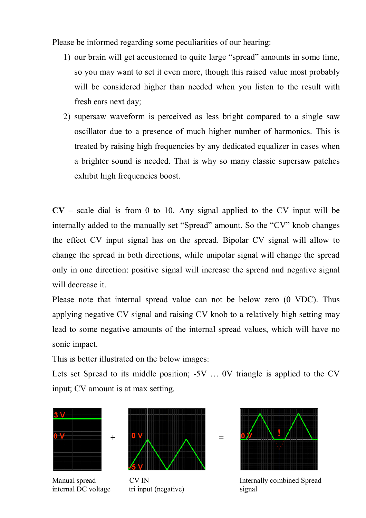Please be informed regarding some peculiarities of our hearing:

- 1) our brain will get accustomed to quite large "spread" amounts in some time, so you may want to set it even more, though this raised value most probably will be considered higher than needed when you listen to the result with fresh ears next day;
- 2) supersaw waveform is perceived as less bright compared to a single saw oscillator due to a presence of much higher number of harmonics. This is treated by raising high frequencies by any dedicated equalizer in cases when a brighter sound is needed. That is why so many classic supersaw patches exhibit high frequencies boost.

**CV –** scale dial is from 0 to 10. Any signal applied to the CV input will be internally added to the manually set "Spread" amount. So the "CV" knob changes the effect CV input signal has on the spread. Bipolar CV signal will allow to change the spread in both directions, while unipolar signal will change the spread only in one direction: positive signal will increase the spread and negative signal will decrease it.

Please note that internal spread value can not be below zero (0 VDC). Thus applying negative CV signal and raising CV knob to a relatively high setting may lead to some negative amounts of the internal spread values, which will have no sonic impact.

This is better illustrated on the below images:

Lets set Spread to its middle position; -5V … 0V triangle is applied to the CV input; CV amount is at max setting.



internal DC voltage tri input (negative) signal





Manual spread CV IN Internally combined Spread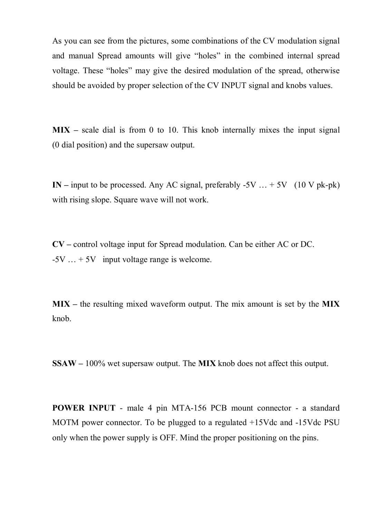As you can see from the pictures, some combinations of the CV modulation signal and manual Spread amounts will give "holes" in the combined internal spread voltage. These "holes" may give the desired modulation of the spread, otherwise should be avoided by proper selection of the CV INPUT signal and knobs values.

**MIX –** scale dial is from 0 to 10. This knob internally mixes the input signal (0 dial position) and the supersaw output.

**IN** – input to be processed. Any AC signal, preferably  $-5V$  …  $+ 5V$  (10 V pk-pk) with rising slope. Square wave will not work.

**CV –** control voltage input for Spread modulation. Can be either AC or DC.  $-5V$   $\ldots$  + 5V input voltage range is welcome.

**MIX –** the resulting mixed waveform output. The mix amount is set by the **MIX** knob.

**SSAW –** 100% wet supersaw output. The **MIX** knob does not affect this output.

**POWER INPUT** - male 4 pin MTA-156 PCB mount connector - a standard MOTM power connector. To be plugged to a regulated +15Vdc and -15Vdc PSU only when the power supply is OFF. Mind the proper positioning on the pins.